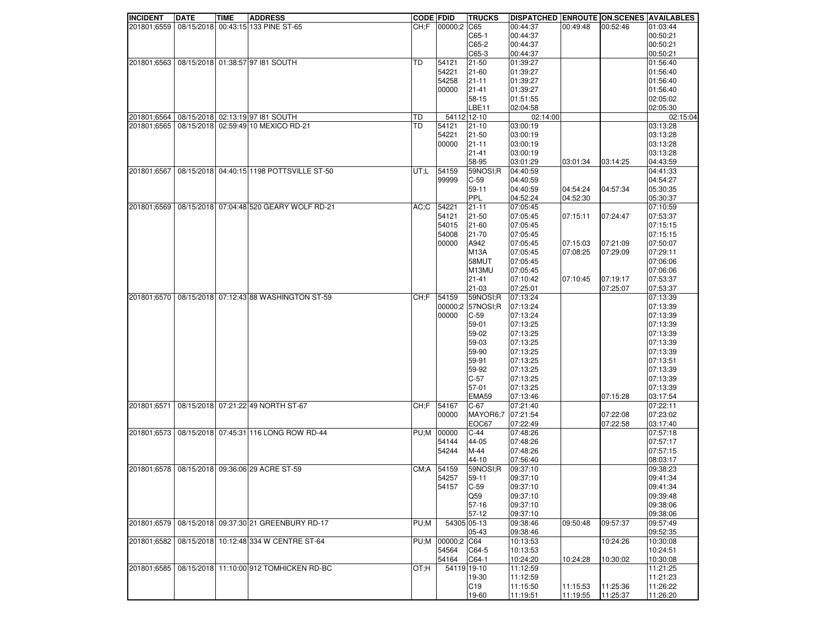| <b>INCIDENT</b> | <b>DATE</b> | <b>TIME</b> | <b>ADDRESS</b>                                           | <b>CODE FDID</b> |             | <b>TRUCKS</b>    | <b>DISPATCHED ENROUTE ON SCENES AVAILABLES</b> |                      |                      |                      |
|-----------------|-------------|-------------|----------------------------------------------------------|------------------|-------------|------------------|------------------------------------------------|----------------------|----------------------|----------------------|
|                 |             |             | 201801;6559   08/15/2018   00:43:15   133 PINE ST-65     | CH: F            | 00000;2 C65 |                  | 00:44:37                                       | 00:49:48             | 00:52:46             | 01:03:44             |
|                 |             |             |                                                          |                  |             | $C65-1$          | 00:44:37                                       |                      |                      | 00:50:21             |
|                 |             |             |                                                          |                  |             | $C65-2$          | 00:44:37                                       |                      |                      | 00:50:21             |
|                 |             |             |                                                          |                  |             | C65-3            | 00:44:37                                       |                      |                      | 00:50:21             |
|                 |             |             | 201801;6563   08/15/2018 01:38:57 97 181 SOUTH           | TD               | 54121       | 21-50            | 01:39:27                                       |                      |                      | 01:56:40             |
|                 |             |             |                                                          |                  | 54221       | 21-60            | 01:39:27                                       |                      |                      | 01:56:40             |
|                 |             |             |                                                          |                  | 54258       | 21-11            | 01:39:27                                       |                      |                      | 01:56:40             |
|                 |             |             |                                                          |                  | 00000       |                  | 01:39:27                                       |                      |                      |                      |
|                 |             |             |                                                          |                  |             | $21 - 41$        |                                                |                      |                      | 01:56:40             |
|                 |             |             |                                                          |                  |             | 58-15            | 01:51:55                                       |                      |                      | 02:05:02             |
|                 |             |             |                                                          |                  |             | LBE11            | 02:04:58                                       |                      |                      | 02:05:30             |
|                 |             |             | 201801;6564   08/15/2018 02:13:19 97 181 SOUTH           | TD               | 54112 12-10 |                  | 02:14:00                                       |                      |                      | 02:15:04             |
| 201801;6565     |             |             | 08/15/2018 02:59:49 10 MEXICO RD-21                      | <b>TD</b>        | 54121       | $21-10$          | 03:00:19                                       |                      |                      | 03:13:28             |
|                 |             |             |                                                          |                  | 54221       | 21-50            | 03:00:19                                       |                      |                      | 03:13:28             |
|                 |             |             |                                                          |                  | 00000       | $21 - 11$        | 03:00:19                                       |                      |                      | 03:13:28             |
|                 |             |             |                                                          |                  |             | 21-41            | 03:00:19                                       |                      |                      | 03:13:28             |
|                 |             |             |                                                          |                  |             | 58-95            | 03:01:29                                       | 03:01:34             | 03:14:25             | 04:43:59             |
| 201801;6567     |             |             | 08/15/2018 04:40:15 1198 POTTSVILLE ST-50                | UT;L             | 54159       | 59NOSI:R         | 04:40:59                                       |                      |                      | 04:41:33             |
|                 |             |             |                                                          |                  | 99999       | $C-59$           | 04:40:59                                       |                      |                      | 04:54:27             |
|                 |             |             |                                                          |                  |             | 59-11            | 04:40:59                                       | 04:54:24             | 04:57:34             | 05:30:35             |
|                 |             |             |                                                          |                  |             | PPL              | 04:52:24                                       | 04:52:30             |                      | 05:30:37             |
|                 |             |             |                                                          |                  |             |                  |                                                |                      |                      |                      |
|                 |             |             | 201801;6569   08/15/2018   07:04:48 520 GEARY WOLF RD-21 | AC;C             | 54221       | $21 - 11$        | 07:05:45                                       |                      |                      | 07:10:59             |
|                 |             |             |                                                          |                  | 54121       | 21-50            | 07:05:45                                       | 07:15:11             | 07:24:47             | 07:53:37             |
|                 |             |             |                                                          |                  | 54015       | 21-60            | 07:05:45                                       |                      |                      | 07:15:15             |
|                 |             |             |                                                          |                  | 54008       | 21-70            | 07:05:45                                       |                      |                      | 07:15:15             |
|                 |             |             |                                                          |                  | 00000       | A942             | 07:05:45                                       | 07:15:03             | 07:21:09             | 07:50:07             |
|                 |             |             |                                                          |                  |             | <b>M13A</b>      | 07:05:45                                       | 07:08:25             | 07:29:09             | 07:29:11             |
|                 |             |             |                                                          |                  |             | 58MUT            | 07:05:45                                       |                      |                      | 07:06:06             |
|                 |             |             |                                                          |                  |             | M13MU            | 07:05:45                                       |                      |                      | 07:06:06             |
|                 |             |             |                                                          |                  |             | 21-41            | 07:10:42                                       | 07:10:45             | 07:19:17             | 07:53:37             |
|                 |             |             |                                                          |                  |             | 21-03            | 07:25:01                                       |                      | 07:25:07             | 07:53:37             |
|                 |             |             | 201801;6570   08/15/2018 07:12:43 88 WASHINGTON ST-59    | CH: F            | 54159       | 59NOSI:R         | 07:13:24                                       |                      |                      | 07:13:39             |
|                 |             |             |                                                          |                  |             | 00000;2 57NOSI;R | 07:13:24                                       |                      |                      | 07:13:39             |
|                 |             |             |                                                          |                  |             |                  |                                                |                      |                      |                      |
|                 |             |             |                                                          |                  | 00000       | $ C-59 $         | 07:13:24                                       |                      |                      | 07:13:39             |
|                 |             |             |                                                          |                  |             | 59-01            | 07:13:25                                       |                      |                      | 07:13:39             |
|                 |             |             |                                                          |                  |             | 59-02            | 07:13:25                                       |                      |                      | 07:13:39             |
|                 |             |             |                                                          |                  |             | 59-03            | 07:13:25                                       |                      |                      | 07:13:39             |
|                 |             |             |                                                          |                  |             | 59-90            | 07:13:25                                       |                      |                      | 07:13:39             |
|                 |             |             |                                                          |                  |             | 59-91            | 07:13:25                                       |                      |                      | 07:13:51             |
|                 |             |             |                                                          |                  |             | 59-92            | 07:13:25                                       |                      |                      | 07:13:39             |
|                 |             |             |                                                          |                  |             | $C-57$           | 07:13:25                                       |                      |                      | 07:13:39             |
|                 |             |             |                                                          |                  |             | 57-01            | 07:13:25                                       |                      |                      | 07:13:39             |
|                 |             |             |                                                          |                  |             | <b>EMA59</b>     | 07:13:46                                       |                      | 07:15:28             | 03:17:54             |
| 201801;6571     |             |             | 08/15/2018 07:21:22 49 NORTH ST-67                       | CH:F             | 54167       | IC-67            | 07:21:40                                       |                      |                      | 07:22:11             |
|                 |             |             |                                                          |                  | 00000       | MAYOR6:7         | 07:21:54                                       |                      | 07:22:08             | 07:23:02             |
|                 |             |             |                                                          |                  |             | EOC67            | 07:22:49                                       |                      | 07:22:58             | 03:17:40             |
|                 |             |             | 201801;6573 08/15/2018 07:45:31 116 LONG ROW RD-44       | PU;M             | 00000       | $C-44$           | 07:48:26                                       |                      |                      | 07:57:18             |
|                 |             |             |                                                          |                  |             |                  |                                                |                      |                      | 07:57:17             |
|                 |             |             |                                                          |                  | 54144       | 44-05            | 07:48:26                                       |                      |                      |                      |
|                 |             |             |                                                          |                  | 54244       | M-44             | 07:48:26                                       |                      |                      | 07:57:15             |
|                 |             |             |                                                          |                  |             | 44-10            | 07:56:40                                       |                      |                      | 08:03:17             |
|                 |             |             | 201801;6578 08/15/2018 09:36:06 29 ACRE ST-59            | CM: A            | 54159       | 59NOSI;R         | 09:37:10                                       |                      |                      | 09:38:23             |
|                 |             |             |                                                          |                  | 54257       | 59-11            | 09:37:10                                       |                      |                      | 09:41:34             |
|                 |             |             |                                                          |                  | 54157       | $ C-59$          | 09:37:10                                       |                      |                      | 09:41:34             |
|                 |             |             |                                                          |                  |             | Q59              | 09:37:10                                       |                      |                      | 09:39:48             |
|                 |             |             |                                                          |                  |             | 57-16            | 09:37:10                                       |                      |                      | 09:38:06             |
|                 |             |             |                                                          |                  |             | $57-12$          | 09:37:10                                       |                      |                      | 09:38:06             |
|                 |             |             | 201801;6579   08/15/2018   09:37:30 21 GREENBURY RD-17   | PU;M             | 54305 05-13 |                  | 09:38:46                                       | 09:50:48             | 09:57:37             | 09:57:49             |
|                 |             |             |                                                          |                  |             | 05-43            | 09:38:46                                       |                      |                      | 09:52:35             |
| 201801;6582     |             |             | 08/15/2018 10:12:48 334 W CENTRE ST-64                   | PU;M             | 00000;2 C64 |                  | 10:13:53                                       |                      | 10:24:26             | 10:30:08             |
|                 |             |             |                                                          |                  | 54564       | $CG4-5$          | 10:13:53                                       |                      |                      | 10:24:51             |
|                 |             |             |                                                          |                  |             |                  |                                                |                      |                      |                      |
|                 |             |             |                                                          |                  | 54164       | $CG4-1$          | 10:24:20                                       | 10:24:28             | 10:30:02             | 10:30:08             |
| 201801:6585     |             |             | 08/15/2018 11:10:00 912 TOMHICKEN RD-BC                  | OT:H             |             | 54119 19-10      | 11:12:59                                       |                      |                      | 11:21:25             |
|                 |             |             |                                                          |                  |             | 19-30            | 11:12:59                                       |                      |                      | 11:21:23             |
|                 |             |             |                                                          |                  |             |                  |                                                |                      |                      |                      |
|                 |             |             |                                                          |                  |             | CI9<br>19-60     | 11:15:50<br>11:19:51                           | 11:15:53<br>11:19:55 | 11:25:36<br>11:25:37 | 11:26:22<br>11:26:20 |